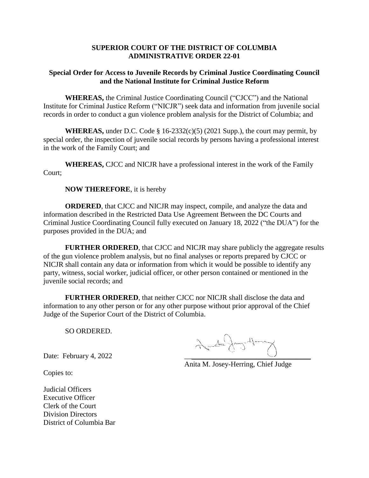## **SUPERIOR COURT OF THE DISTRICT OF COLUMBIA ADMINISTRATIVE ORDER 22-01**

## **Special Order for Access to Juvenile Records by Criminal Justice Coordinating Council and the National Institute for Criminal Justice Reform**

**WHEREAS,** the Criminal Justice Coordinating Council ("CJCC") and the National Institute for Criminal Justice Reform ("NICJR") seek data and information from juvenile social records in order to conduct a gun violence problem analysis for the District of Columbia; and

**WHEREAS,** under D.C. Code  $\S$  16-2332(c)(5) (2021 Supp.), the court may permit, by special order, the inspection of juvenile social records by persons having a professional interest in the work of the Family Court; and

**WHEREAS,** CJCC and NICJR have a professional interest in the work of the Family Court;

**NOW THEREFORE**, it is hereby

**ORDERED**, that CJCC and NICJR may inspect, compile, and analyze the data and information described in the Restricted Data Use Agreement Between the DC Courts and Criminal Justice Coordinating Council fully executed on January 18, 2022 ("the DUA") for the purposes provided in the DUA; and

**FURTHER ORDERED**, that CJCC and NICJR may share publicly the aggregate results of the gun violence problem analysis, but no final analyses or reports prepared by CJCC or NICJR shall contain any data or information from which it would be possible to identify any party, witness, social worker, judicial officer, or other person contained or mentioned in the juvenile social records; and

**FURTHER ORDERED**, that neither CJCC nor NICJR shall disclose the data and information to any other person or for any other purpose without prior approval of the Chief Judge of the Superior Court of the District of Columbia.

SO ORDERED.

Date: February 4, 2022

Anita M. Josey-Herring, Chief Judge

Copies to:

Judicial Officers Executive Officer Clerk of the Court Division Directors District of Columbia Bar